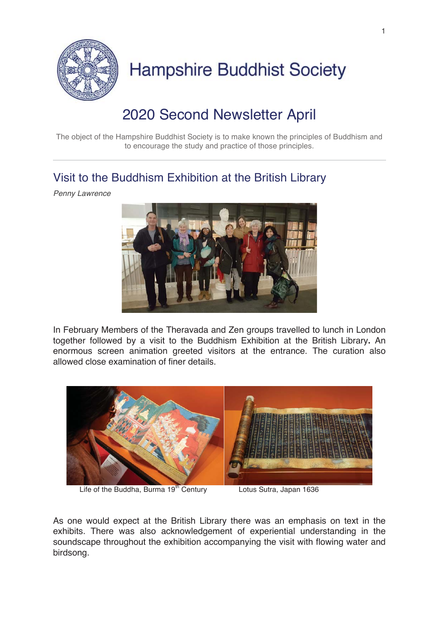

## 2020 Second Newsletter April

The object of the Hampshire Buddhist Society is to make known the principles of Buddhism and to encourage the study and practice of those principles.

### Visit to the Buddhism Exhibition at the British Library

*Penny Lawrence* 



In February Members of the Theravada and Zen groups travelled to lunch in London together followed by a visit to the Buddhism Exhibition at the British Library**.** An enormous screen animation greeted visitors at the entrance. The curation also allowed close examination of finer details.



Life of the Buddha, Burma 19<sup>th</sup> Century **Lotus Sutra, Japan 1636** 

As one would expect at the British Library there was an emphasis on text in the exhibits. There was also acknowledgement of experiential understanding in the soundscape throughout the exhibition accompanying the visit with flowing water and birdsong.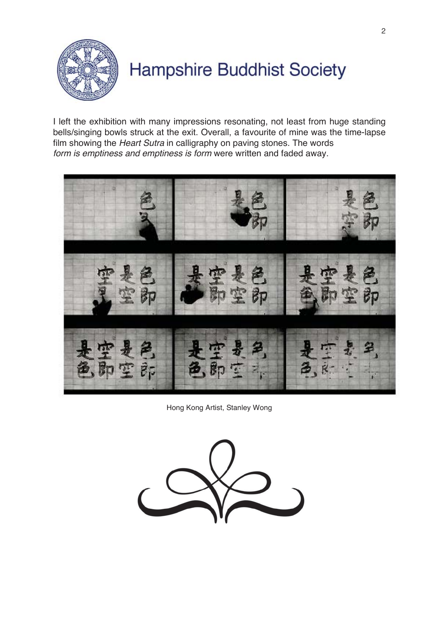

I left the exhibition with many impressions resonating, not least from huge standing bells/singing bowls struck at the exit. Overall, a favourite of mine was the time-lapse film showing the *Heart Sutra* in calligraphy on paving stones. The words *form is emptiness and emptiness is form* were written and faded away.



Hong Kong Artist, Stanley Wong

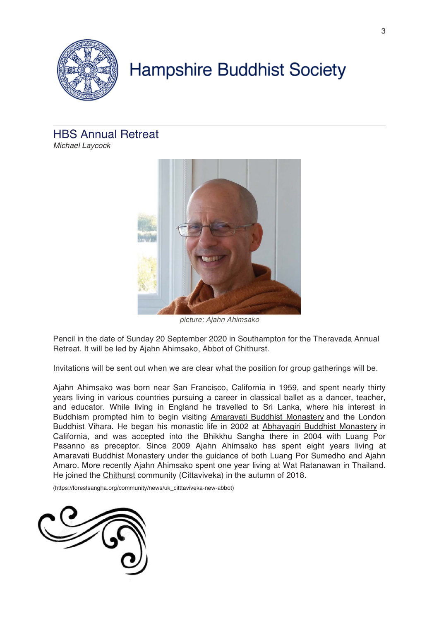

## HBS Annual Retreat

*Michael Laycock* 



*picture: Ajahn Ahimsako*

Pencil in the date of Sunday 20 September 2020 in Southampton for the Theravada Annual Retreat. It will be led by Ajahn Ahimsako, Abbot of Chithurst.

Invitations will be sent out when we are clear what the position for group gatherings will be.

Ajahn Ahimsako was born near San Francisco, California in 1959, and spent nearly thirty years living in various countries pursuing a career in classical ballet as a dancer, teacher, and educator. While living in England he travelled to Sri Lanka, where his interest in Buddhism prompted him to begin visiting Amaravati Buddhist Monastery and the London Buddhist Vihara. He began his monastic life in 2002 at Abhayagiri Buddhist Monastery in California, and was accepted into the Bhikkhu Sangha there in 2004 with Luang Por Pasanno as preceptor. Since 2009 Ajahn Ahimsako has spent eight years living at Amaravati Buddhist Monastery under the guidance of both Luang Por Sumedho and Ajahn Amaro. More recently Ajahn Ahimsako spent one year living at Wat Ratanawan in Thailand. He joined the Chithurst community (Cittaviveka) in the autumn of 2018.

(https://forestsangha.org/community/news/uk\_citttaviveka-new-abbot)

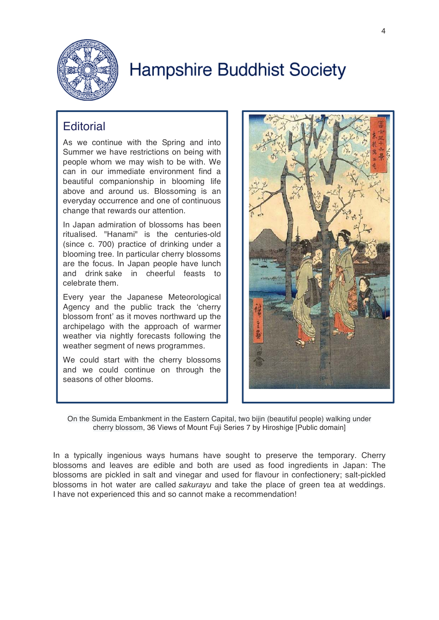

### **Editorial**

As we continue with the Spring and into Summer we have restrictions on being with people whom we may wish to be with. We can in our immediate environment find a beautiful companionship in blooming life above and around us. Blossoming is an everyday occurrence and one of continuous change that rewards our attention.

In Japan admiration of blossoms has been ritualised. "Hanami" is the centuries-old (since c. 700) practice of drinking under a blooming tree. In particular cherry blossoms are the focus. In Japan people have lunch and drink sake in cheerful feasts to celebrate them.

Every year the Japanese Meteorological Agency and the public track the 'cherry blossom front' as it moves northward up the archipelago with the approach of warmer weather via nightly forecasts following the weather segment of news programmes.

We could start with the cherry blossoms and we could continue on through the seasons of other blooms.



On the Sumida Embankment in the Eastern Capital, two bijin (beautiful people) walking under cherry blossom, 36 Views of Mount Fuji Series 7 by Hiroshige [Public domain]

In a typically ingenious ways humans have sought to preserve the temporary. Cherry blossoms and leaves are edible and both are used as food ingredients in Japan: The blossoms are pickled in salt and vinegar and used for flavour in confectionery; salt-pickled blossoms in hot water are called *sakurayu* and take the place of green tea at weddings. I have not experienced this and so cannot make a recommendation!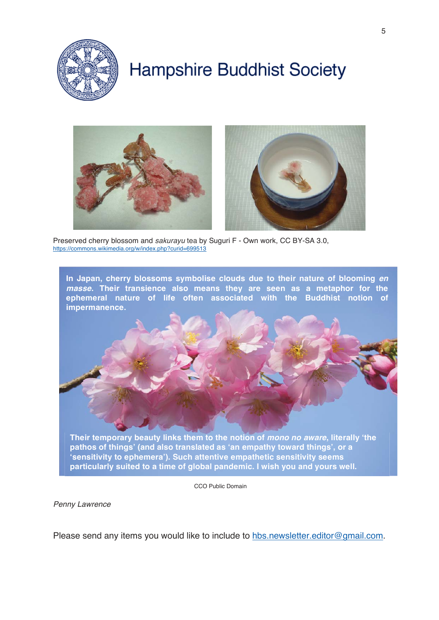



Preserved cherry blossom and *sakurayu* tea by Suguri F - Own work, CC BY-SA 3.0, https://commons.wikimedia.org/w/index.php?curid=699513



CCO Public Domain

*Penny Lawrence* 

Please send any items you would like to include to hbs.newsletter.editor@gmail.com.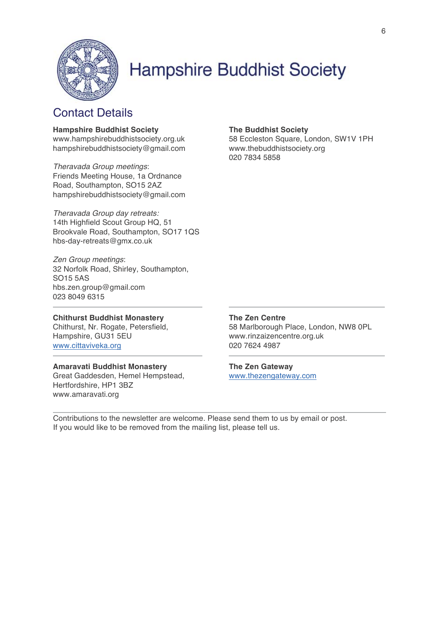

### Contact Details

#### **Hampshire Buddhist Society**

www.hampshirebuddhistsociety.org.uk hampshirebuddhistsociety@gmail.com

*Theravada Group meetings*: Friends Meeting House, 1a Ordnance Road, Southampton, SO15 2AZ hampshirebuddhistsociety@gmail.com

*Theravada Group day retreats:*  14th Highfield Scout Group HQ, 51 Brookvale Road, Southampton, SO17 1QS hbs-day-retreats@gmx.co.uk

*Zen Group meetings*: 32 Norfolk Road, Shirley, Southampton, SO15 5AS hbs.zen.group@gmail.com 023 8049 6315

### **Chithurst Buddhist Monastery**

Chithurst, Nr. Rogate, Petersfield, Hampshire, GU31 5EU www.cittaviveka.org

### **Amaravati Buddhist Monastery**

Great Gaddesden, Hemel Hempstead, Hertfordshire, HP1 3BZ www.amaravati.org

### **The Buddhist Society**

58 Eccleston Square, London, SW1V 1PH www.thebuddhistsociety.org 020 7834 5858

#### **The Zen Centre**

58 Marlborough Place, London, NW8 0PL www.rinzaizencentre.org.uk 020 7624 4987

### **The Zen Gateway**

www.thezengateway.com

Contributions to the newsletter are welcome. Please send them to us by email or post. If you would like to be removed from the mailing list, please tell us.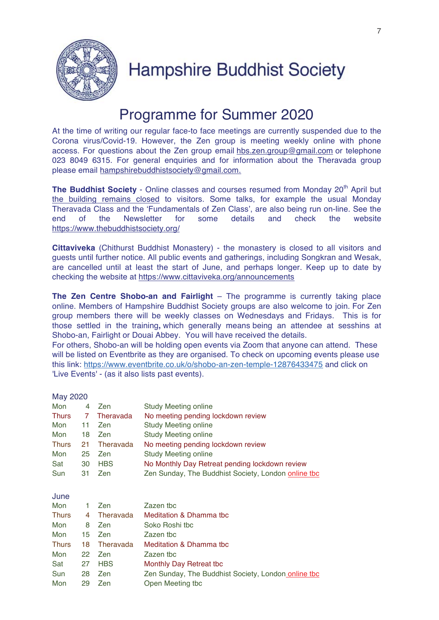

## Programme for Summer 2020

At the time of writing our regular face-to face meetings are currently suspended due to the Corona virus/Covid-19. However, the Zen group is meeting weekly online with phone access. For questions about the Zen group email hbs.zen.group@gmail.com or telephone 023 8049 6315. For general enquiries and for information about the Theravada group please email hampshirebuddhistsociety@gmail.com.

**The Buddhist Society** - Online classes and courses resumed from Monday 20<sup>th</sup> April but the building remains closed to visitors. Some talks, for example the usual Monday Theravada Class and the 'Fundamentals of Zen Class', are also being run on-line. See the end of the Newsletter for some details and check the website https://www.thebuddhistsociety.org/

**Cittaviveka** (Chithurst Buddhist Monastery) - the monastery is closed to all visitors and guests until further notice. All public events and gatherings, including Songkran and Wesak, are cancelled until at least the start of June, and perhaps longer. Keep up to date by checking the website at https://www.cittaviveka.org/announcements

**The Zen Centre Shobo-an and Fairlight** – The programme is currently taking place online. Members of Hampshire Buddhist Society groups are also welcome to join. For Zen group members there will be weekly classes on Wednesdays and Fridays. This is for those settled in the training**,** which generally means being an attendee at sesshins at Shobo-an, Fairlight or Douai Abbey. You will have received the details. For others, Shobo-an will be holding open events via Zoom that anyone can attend. These will be listed on Eventbrite as they are organised. To check on upcoming events please use this link: https://www.eventbrite.co.uk/o/shobo-an-zen-temple-12876433475 and click on

'Live Events' - (as it also lists past events).

| May 2020 |  |
|----------|--|
|----------|--|

| Mon          | 4   | Zen        | <b>Study Meeting online</b>                         |
|--------------|-----|------------|-----------------------------------------------------|
| <b>Thurs</b> |     | Theravada  | No meeting pending lockdown review                  |
| Mon          | 11  | Zen        | <b>Study Meeting online</b>                         |
| Mon          | 18  | Zen        | <b>Study Meeting online</b>                         |
| <b>Thurs</b> | 21. | Theravada  | No meeting pending lockdown review                  |
| Mon          | 25  | <b>Zen</b> | <b>Study Meeting online</b>                         |
| Sat          | 30  | <b>HBS</b> | No Monthly Day Retreat pending lockdown review      |
| Sun          | 31  | Zen        | Zen Sunday, The Buddhist Society, London online tbo |

| × | × |  | ×<br>۰. |  |
|---|---|--|---------|--|
|---|---|--|---------|--|

| Mon          | $\mathbf{1}$ | Zen         | Zazen tbc                                           |
|--------------|--------------|-------------|-----------------------------------------------------|
| <b>Thurs</b> |              | 4 Theravada | Meditation & Dhamma tbc                             |
| Mon          | 8            | <b>Zen</b>  | Soko Roshi tbc                                      |
| Mon          |              | 15 Zen      | Zazen tbc                                           |
| <b>Thurs</b> | 18           | Theravada   | <b>Meditation &amp; Dhamma tbc</b>                  |
| Mon          |              | 22 Zen      | Zazen tbc                                           |
| Sat          | 27           | <b>HBS</b>  | Monthly Day Retreat tbc                             |
| Sun          | 28           | Zen         | Zen Sunday, The Buddhist Society, London online tbc |
| Mon          | 29           | Zen         | Open Meeting tbc                                    |